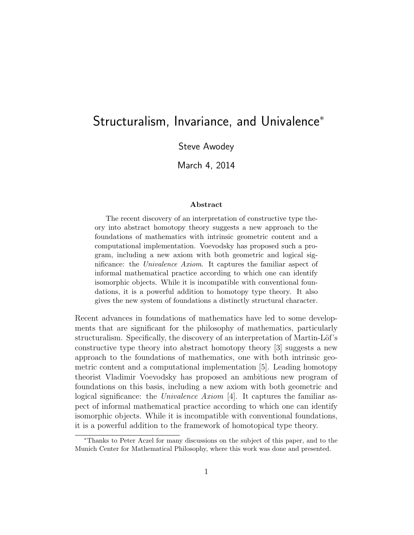# Structuralism, Invariance, and Univalence<sup>∗</sup>

Steve Awodey

March 4, 2014

#### Abstract

The recent discovery of an interpretation of constructive type theory into abstract homotopy theory suggests a new approach to the foundations of mathematics with intrinsic geometric content and a computational implementation. Voevodsky has proposed such a program, including a new axiom with both geometric and logical significance: the Univalence Axiom. It captures the familiar aspect of informal mathematical practice according to which one can identify isomorphic objects. While it is incompatible with conventional foundations, it is a powerful addition to homotopy type theory. It also gives the new system of foundations a distinctly structural character.

Recent advances in foundations of mathematics have led to some developments that are significant for the philosophy of mathematics, particularly structuralism. Specifically, the discovery of an interpretation of Martin-Löf's constructive type theory into abstract homotopy theory [3] suggests a new approach to the foundations of mathematics, one with both intrinsic geometric content and a computational implementation [5]. Leading homotopy theorist Vladimir Voevodsky has proposed an ambitious new program of foundations on this basis, including a new axiom with both geometric and logical significance: the Univalence Axiom [4]. It captures the familiar aspect of informal mathematical practice according to which one can identify isomorphic objects. While it is incompatible with conventional foundations, it is a powerful addition to the framework of homotopical type theory.

<sup>∗</sup>Thanks to Peter Aczel for many discussions on the subject of this paper, and to the Munich Center for Mathematical Philosophy, where this work was done and presented.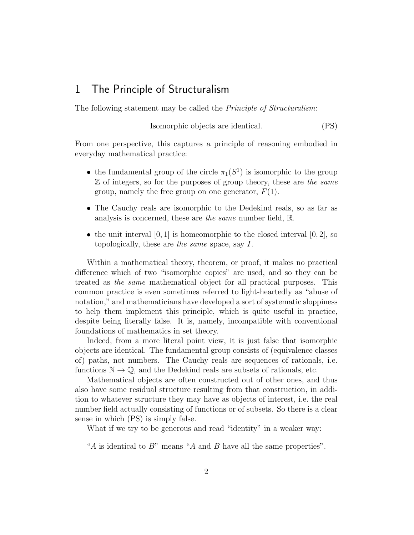# 1 The Principle of Structuralism

The following statement may be called the *Principle of Structuralism*:

Isomorphic objects are identical. (PS)

From one perspective, this captures a principle of reasoning embodied in everyday mathematical practice:

- the fundamental group of the circle  $\pi_1(S^1)$  is isomorphic to the group  $\mathbb Z$  of integers, so for the purposes of group theory, these are the same group, namely the free group on one generator,  $F(1)$ .
- The Cauchy reals are isomorphic to the Dedekind reals, so as far as analysis is concerned, these are the same number field, R.
- the unit interval  $[0, 1]$  is homeomorphic to the closed interval  $[0, 2]$ , so topologically, these are the same space, say I.

Within a mathematical theory, theorem, or proof, it makes no practical difference which of two "isomorphic copies" are used, and so they can be treated as the same mathematical object for all practical purposes. This common practice is even sometimes referred to light-heartedly as "abuse of notation," and mathematicians have developed a sort of systematic sloppiness to help them implement this principle, which is quite useful in practice, despite being literally false. It is, namely, incompatible with conventional foundations of mathematics in set theory.

Indeed, from a more literal point view, it is just false that isomorphic objects are identical. The fundamental group consists of (equivalence classes of) paths, not numbers. The Cauchy reals are sequences of rationals, i.e. functions  $\mathbb{N} \to \mathbb{Q}$ , and the Dedekind reals are subsets of rationals, etc.

Mathematical objects are often constructed out of other ones, and thus also have some residual structure resulting from that construction, in addition to whatever structure they may have as objects of interest, i.e. the real number field actually consisting of functions or of subsets. So there is a clear sense in which (PS) is simply false.

What if we try to be generous and read "identity" in a weaker way:

"A is identical to  $B$ " means "A and B have all the same properties".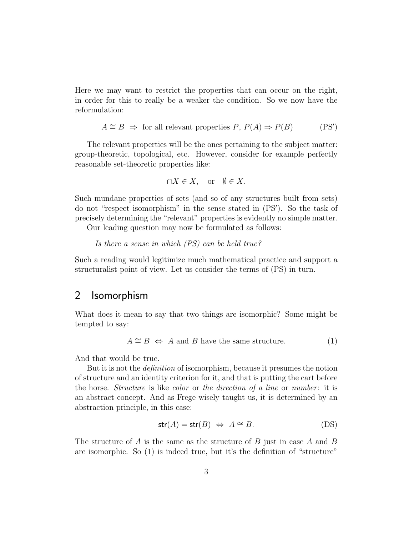Here we may want to restrict the properties that can occur on the right, in order for this to really be a weaker the condition. So we now have the reformulation:

$$
A \cong B \implies
$$
 for all relevant properties  $P, P(A) \Rightarrow P(B)$  (PS')

The relevant properties will be the ones pertaining to the subject matter: group-theoretic, topological, etc. However, consider for example perfectly reasonable set-theoretic properties like:

$$
\cap X \in X, \quad \text{or} \quad \emptyset \in X.
$$

Such mundane properties of sets (and so of any structures built from sets) do not "respect isomorphism" in the sense stated in (PS'). So the task of precisely determining the "relevant" properties is evidently no simple matter.

Our leading question may now be formulated as follows:

```
Is there a sense in which (PS) can be held true?
```
Such a reading would legitimize much mathematical practice and support a structuralist point of view. Let us consider the terms of (PS) in turn.

### 2 Isomorphism

What does it mean to say that two things are isomorphic? Some might be tempted to say:

$$
A \cong B \iff A \text{ and } B \text{ have the same structure.} \tag{1}
$$

And that would be true.

But it is not the *definition* of isomorphism, because it presumes the notion of structure and an identity criterion for it, and that is putting the cart before the horse. *Structure* is like *color* or the direction of a line or number: it is an abstract concept. And as Frege wisely taught us, it is determined by an abstraction principle, in this case:

$$
str(A) = str(B) \Leftrightarrow A \cong B. \tag{DS}
$$

The structure of A is the same as the structure of B just in case A and B are isomorphic. So (1) is indeed true, but it's the definition of "structure"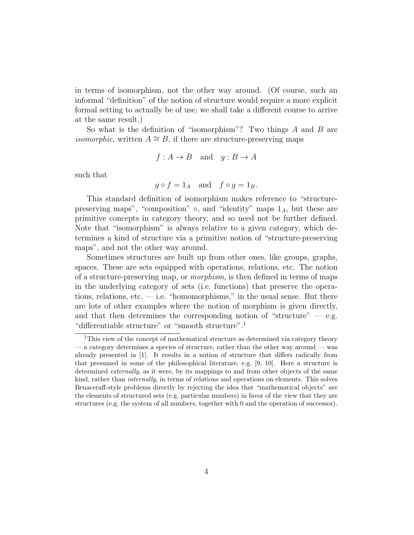in terms of isomorphism, not the other way around. (Of course, such an informal "definition" of the notion of structure would require a more explicit formal setting to actually be of use; we shall take a different course to arrive at the same result.)

So what is the definition of "isomorphism"? Two things A and B are *isomorphic*, written  $A \cong B$ , if there are structure-preserving maps

$$
f: A \to B
$$
 and  $g: B \to A$ 

such that

$$
g \circ f = 1_A
$$
 and  $f \circ g = 1_B$ .

This standard definition of isomorphism makes reference to "structurepreserving maps", "composition"  $\circ$ , and "identity" maps  $1_A$ , but these are primitive concepts in category theory, and so need not be further defined. Note that "isomorphism" is always relative to a given category, which determines a kind of structure via a primitive notion of "structure-preserving maps", and not the other way around.

Sometimes structures are built up from other ones, like groups, graphs, spaces. These are sets equipped with operations, relations, etc. The notion of a structure-preserving map, or *morphism*, is then defined in terms of maps in the underlying category of sets (i.e. functions) that preserve the operations, relations, etc.  $-$  i.e. "homomorphisms," in the usual sense. But there are lots of other examples where the notion of morphism is given directly, and that then determines the corresponding notion of "structure"  $-$  e.g. "differentiable structure" or "smooth structure".<sup>1</sup>

<sup>&</sup>lt;sup>1</sup>This view of the concept of mathematical structure as determined via category theory — a category determines a species of structure, rather than the other way around — was already presented in [1]. It results in a notion of structure that differs radically from that presumed in some of the philosophical literature, e.g. [9, 10]. Here a structure is determined *externally*, as it were, by its mappings to and from other objects of the same kind, rather than internally, in terms of relations and operations on elements. This solves Benaceraff-style problems directly by rejecting the idea that "mathematical objects" are the elements of structured sets (e.g. particular numbers) in favor of the view that they are structures (e.g. the system of all numbers, together with 0 and the operation of successor).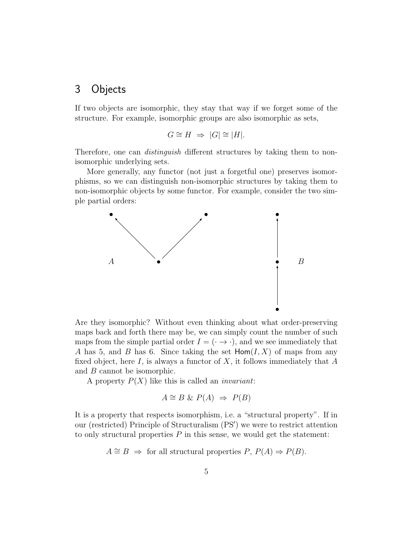# 3 Objects

If two objects are isomorphic, they stay that way if we forget some of the structure. For example, isomorphic groups are also isomorphic as sets,

$$
G \cong H \Rightarrow |G| \cong |H|.
$$

Therefore, one can *distinguish* different structures by taking them to nonisomorphic underlying sets.

More generally, any functor (not just a forgetful one) preserves isomorphisms, so we can distinguish non-isomorphic structures by taking them to non-isomorphic objects by some functor. For example, consider the two simple partial orders:



Are they isomorphic? Without even thinking about what order-preserving maps back and forth there may be, we can simply count the number of such maps from the simple partial order  $I = (\cdot \rightarrow \cdot)$ , and we see immediately that A has 5, and B has 6. Since taking the set  $Hom(I, X)$  of maps from any fixed object, here I, is always a functor of  $X$ , it follows immediately that A and B cannot be isomorphic.

A property  $P(X)$  like this is called an *invariant*:

$$
A \cong B \& P(A) \Rightarrow P(B)
$$

It is a property that respects isomorphism, i.e. a "structural property". If in our (restricted) Principle of Structuralism (PS') we were to restrict attention to only structural properties  $P$  in this sense, we would get the statement:

$$
A \cong B \Rightarrow
$$
 for all structural properties  $P, P(A) \Rightarrow P(B)$ .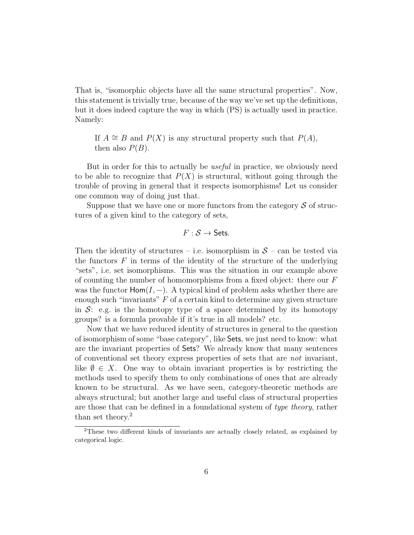That is, "isomorphic objects have all the same structural properties". Now, this statement is trivially true, because of the way we've set up the definitions, but it does indeed capture the way in which (PS) is actually used in practice. Namely:

If  $A \cong B$  and  $P(X)$  is any structural property such that  $P(A)$ , then also  $P(B)$ .

But in order for this to actually be *useful* in practice, we obviously need to be able to recognize that  $P(X)$  is structural, without going through the trouble of proving in general that it respects isomorphisms! Let us consider one common way of doing just that.

Suppose that we have one or more functors from the category  $\mathcal S$  of structures of a given kind to the category of sets,

$$
F:\mathcal{S}\to\mathsf{Sets}.
$$

Then the identity of structures – i.e. isomorphism in  $S$  – can be tested via the functors  $F$  in terms of the identity of the structure of the underlying "sets", i.e. set isomorphisms. This was the situation in our example above of counting the number of homomorphisms from a fixed object: there our F was the functor  $\text{Hom}(I, -)$ . A typical kind of problem asks whether there are enough such "invariants"  $F$  of a certain kind to determine any given structure in  $S$ : e.g. is the homotopy type of a space determined by its homotopy groups? is a formula provable if it's true in all models? etc.

Now that we have reduced identity of structures in general to the question of isomorphism of some "base category", like Sets, we just need to know: what are the invariant properties of Sets? We already know that many sentences of conventional set theory express properties of sets that are not invariant, like  $\emptyset \in X$ . One way to obtain invariant properties is by restricting the methods used to specify them to only combinations of ones that are already known to be structural. As we have seen, category-theoretic methods are always structural; but another large and useful class of structural properties are those that can be defined in a foundational system of type theory, rather than set theory.<sup>2</sup>

<sup>&</sup>lt;sup>2</sup>These two different kinds of invariants are actually closely related, as explained by categorical logic.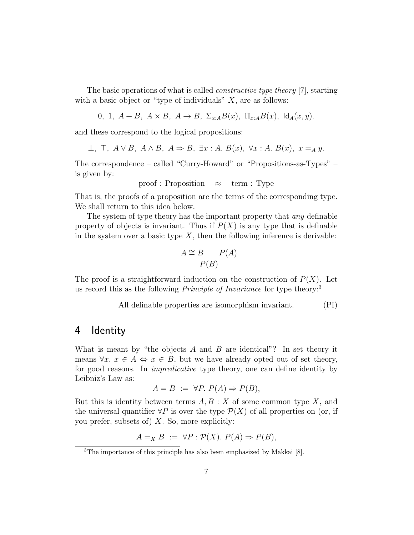The basic operations of what is called constructive type theory [7], starting with a basic object or "type of individuals"  $X$ , are as follows:

0, 1,  $A + B$ ,  $A \times B$ ,  $A \rightarrow B$ ,  $\Sigma_{x:A} B(x)$ ,  $\Pi_{x:A} B(x)$ ,  $\operatorname{Id}_A(x, y)$ .

and these correspond to the logical propositions:

$$
\bot, \top, A \lor B, A \land B, A \Rightarrow B, \exists x:A. B(x), \forall x:A. B(x), x =_A y.
$$

The correspondence – called "Curry-Howard" or "Propositions-as-Types" – is given by:

$$
proof: Proposition \approx term: Type
$$

That is, the proofs of a proposition are the terms of the corresponding type. We shall return to this idea below.

The system of type theory has the important property that any definable property of objects is invariant. Thus if  $P(X)$  is any type that is definable in the system over a basic type  $X$ , then the following inference is derivable:

$$
\frac{A \cong B \qquad P(A)}{P(B)}
$$

The proof is a straightforward induction on the construction of  $P(X)$ . Let us record this as the following *Principle of Invariance* for type theory:<sup>3</sup>

All definable properties are isomorphism invariant. (PI)

#### 4 Identity

What is meant by "the objects  $A$  and  $B$  are identical"? In set theory it means  $\forall x. x \in A \Leftrightarrow x \in B$ , but we have already opted out of set theory, for good reasons. In impredicative type theory, one can define identity by Leibniz's Law as:

$$
A = B := \forall P. \ P(A) \Rightarrow P(B),
$$

But this is identity between terms  $A, B : X$  of some common type X, and the universal quantifier  $\forall P$  is over the type  $\mathcal{P}(X)$  of all properties on (or, if you prefer, subsets of)  $X$ . So, more explicitly:

$$
A =_X B := \forall P : \mathcal{P}(X). P(A) \Rightarrow P(B),
$$

<sup>3</sup>The importance of this principle has also been emphasized by Makkai [8].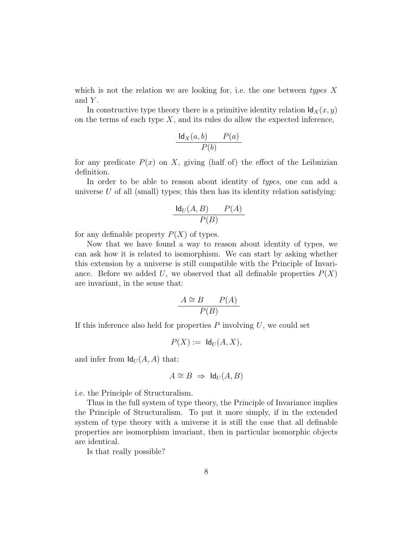which is not the relation we are looking for, i.e. the one between types  $X$ and  $Y$ .

In constructive type theory there is a primitive identity relation  $\mathsf{Id}_X(x, y)$ on the terms of each type  $X$ , and its rules do allow the expected inference,

$$
\frac{\mathrm{Id}_X(a,b) \qquad P(a)}{P(b)}
$$

for any predicate  $P(x)$  on X, giving (half of) the effect of the Leibnizian definition.

In order to be able to reason about identity of *types*, one can add a universe  $U$  of all (small) types; this then has its identity relation satisfying:

$$
\frac{\operatorname{Id}_U(A, B) \qquad P(A)}{P(B)}
$$

for any definable property  $P(X)$  of types.

Now that we have found a way to reason about identity of types, we can ask how it is related to isomorphism. We can start by asking whether this extension by a universe is still compatible with the Principle of Invariance. Before we added U, we observed that all definable properties  $P(X)$ are invariant, in the sense that:

$$
\frac{A \cong B \qquad P(A)}{P(B)}
$$

If this inference also held for properties  $P$  involving  $U$ , we could set

$$
P(X) := \operatorname{Id}_U(A, X),
$$

and infer from  $\mathsf{Id}_U(A, A)$  that:

$$
A \cong B \implies \mathsf{Id}_U(A, B)
$$

i.e. the Principle of Structuralism.

Thus in the full system of type theory, the Principle of Invariance implies the Principle of Structuralism. To put it more simply, if in the extended system of type theory with a universe it is still the case that all definable properties are isomorphism invariant, then in particular isomorphic objects are identical.

Is that really possible?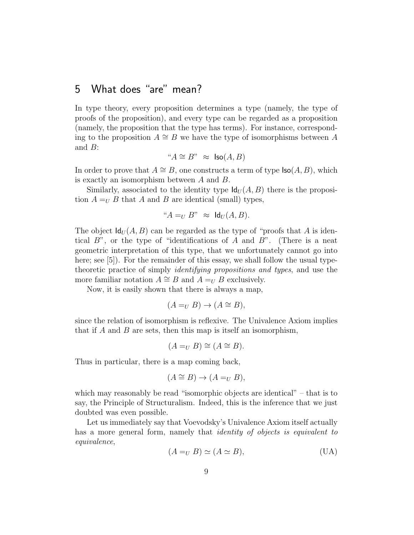# 5 What does "are" mean?

In type theory, every proposition determines a type (namely, the type of proofs of the proposition), and every type can be regarded as a proposition (namely, the proposition that the type has terms). For instance, corresponding to the proposition  $A \cong B$  we have the type of isomorphisms between A and B:

$$
"A \cong B" \approx \text{Iso}(A, B)
$$

In order to prove that  $A \cong B$ , one constructs a term of type  $\textsf{Iso}(A, B)$ , which is exactly an isomorphism between A and B.

Similarly, associated to the identity type  $\mathsf{Id}_U(A, B)$  there is the proposition  $A =_U B$  that A and B are identical (small) types,

$$
"A =_U B" \approx \mathsf{Id}_U(A, B).
$$

The object  $\mathsf{Id}_U(A, B)$  can be regarded as the type of "proofs that A is identical  $B$ ", or the type of "identifications of A and  $B$ ". (There is a neat geometric interpretation of this type, that we unfortunately cannot go into here; see [5]). For the remainder of this essay, we shall follow the usual typetheoretic practice of simply identifying propositions and types, and use the more familiar notation  $A \cong B$  and  $A = U B$  exclusively.

Now, it is easily shown that there is always a map,

$$
(A=_UB)\to (A\cong B),
$$

since the relation of isomorphism is reflexive. The Univalence Axiom implies that if  $A$  and  $B$  are sets, then this map is itself an isomorphism,

$$
(A=_UB)\cong (A\cong B).
$$

Thus in particular, there is a map coming back,

$$
(A \cong B) \to (A =_U B),
$$

which may reasonably be read "isomorphic objects are identical" – that is to say, the Principle of Structuralism. Indeed, this is the inference that we just doubted was even possible.

Let us immediately say that Voevodsky's Univalence Axiom itself actually has a more general form, namely that *identity of objects is equivalent to* equivalence,

$$
(A =_U B) \simeq (A \simeq B), \tag{UA}
$$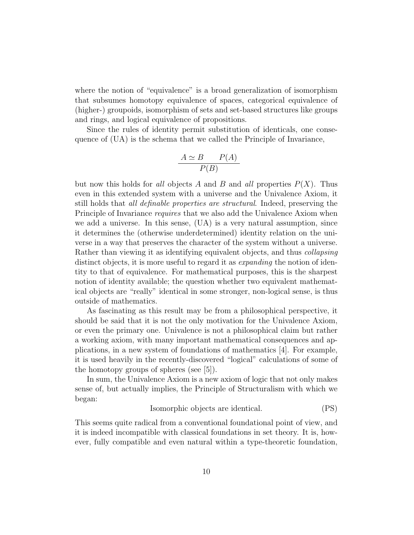where the notion of "equivalence" is a broad generalization of isomorphism that subsumes homotopy equivalence of spaces, categorical equivalence of (higher-) groupoids, isomorphism of sets and set-based structures like groups and rings, and logical equivalence of propositions.

Since the rules of identity permit substitution of identicals, one consequence of (UA) is the schema that we called the Principle of Invariance,

$$
\frac{A \simeq B \qquad P(A)}{P(B)}
$$

but now this holds for all objects A and B and all properties  $P(X)$ . Thus even in this extended system with a universe and the Univalence Axiom, it still holds that all definable properties are structural. Indeed, preserving the Principle of Invariance requires that we also add the Univalence Axiom when we add a universe. In this sense,  $(UA)$  is a very natural assumption, since it determines the (otherwise underdetermined) identity relation on the universe in a way that preserves the character of the system without a universe. Rather than viewing it as identifying equivalent objects, and thus collapsing distinct objects, it is more useful to regard it as *expanding* the notion of identity to that of equivalence. For mathematical purposes, this is the sharpest notion of identity available; the question whether two equivalent mathematical objects are "really" identical in some stronger, non-logical sense, is thus outside of mathematics.

As fascinating as this result may be from a philosophical perspective, it should be said that it is not the only motivation for the Univalence Axiom, or even the primary one. Univalence is not a philosophical claim but rather a working axiom, with many important mathematical consequences and applications, in a new system of foundations of mathematics [4]. For example, it is used heavily in the recently-discovered "logical" calculations of some of the homotopy groups of spheres (see [5]).

In sum, the Univalence Axiom is a new axiom of logic that not only makes sense of, but actually implies, the Principle of Structuralism with which we began:

Isomorphic objects are identical. (PS)

This seems quite radical from a conventional foundational point of view, and it is indeed incompatible with classical foundations in set theory. It is, however, fully compatible and even natural within a type-theoretic foundation,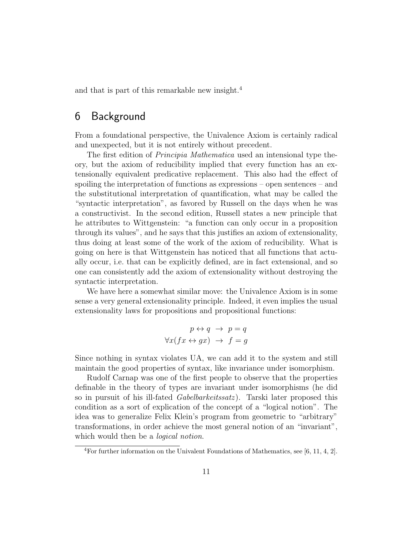and that is part of this remarkable new insight.<sup>4</sup>

# 6 Background

From a foundational perspective, the Univalence Axiom is certainly radical and unexpected, but it is not entirely without precedent.

The first edition of *Principia Mathematica* used an intensional type theory, but the axiom of reducibility implied that every function has an extensionally equivalent predicative replacement. This also had the effect of spoiling the interpretation of functions as expressions – open sentences – and the substitutional interpretation of quantification, what may be called the "syntactic interpretation", as favored by Russell on the days when he was a constructivist. In the second edition, Russell states a new principle that he attributes to Wittgenstein: "a function can only occur in a proposition through its values", and he says that this justifies an axiom of extensionality, thus doing at least some of the work of the axiom of reducibility. What is going on here is that Wittgenstein has noticed that all functions that actually occur, i.e. that can be explicitly defined, are in fact extensional, and so one can consistently add the axiom of extensionality without destroying the syntactic interpretation.

We have here a somewhat similar move: the Univalence Axiom is in some sense a very general extensionality principle. Indeed, it even implies the usual extensionality laws for propositions and propositional functions:

$$
p \leftrightarrow q \rightarrow p = q
$$
  

$$
\forall x (fx \leftrightarrow gx) \rightarrow f = g
$$

Since nothing in syntax violates UA, we can add it to the system and still maintain the good properties of syntax, like invariance under isomorphism.

Rudolf Carnap was one of the first people to observe that the properties definable in the theory of types are invariant under isomorphisms (he did so in pursuit of his ill-fated *Gabelbarkeitssatz*). Tarski later proposed this condition as a sort of explication of the concept of a "logical notion". The idea was to generalize Felix Klein's program from geometric to "arbitrary" transformations, in order achieve the most general notion of an "invariant", which would then be a *logical notion*.

<sup>4</sup>For further information on the Univalent Foundations of Mathematics, see [6, 11, 4, 2].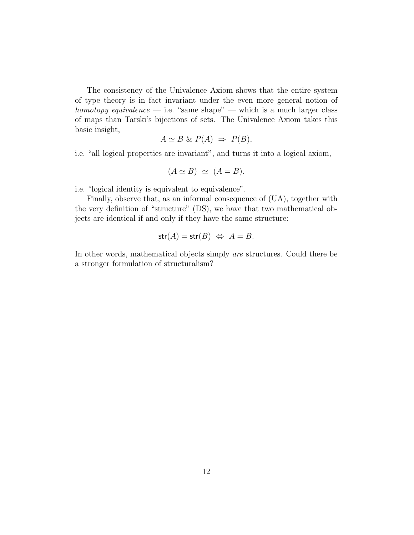The consistency of the Univalence Axiom shows that the entire system of type theory is in fact invariant under the even more general notion of homotopy equivalence  $-$  i.e. "same shape"  $-$  which is a much larger class of maps than Tarski's bijections of sets. The Univalence Axiom takes this basic insight,

$$
A \simeq B \& P(A) \Rightarrow P(B),
$$

i.e. "all logical properties are invariant", and turns it into a logical axiom,

$$
(A \simeq B) \simeq (A = B).
$$

i.e. "logical identity is equivalent to equivalence".

Finally, observe that, as an informal consequence of (UA), together with the very definition of "structure" (DS), we have that two mathematical objects are identical if and only if they have the same structure:

$$
\mathsf{str}(A) = \mathsf{str}(B) \Leftrightarrow A = B.
$$

In other words, mathematical objects simply are structures. Could there be a stronger formulation of structuralism?